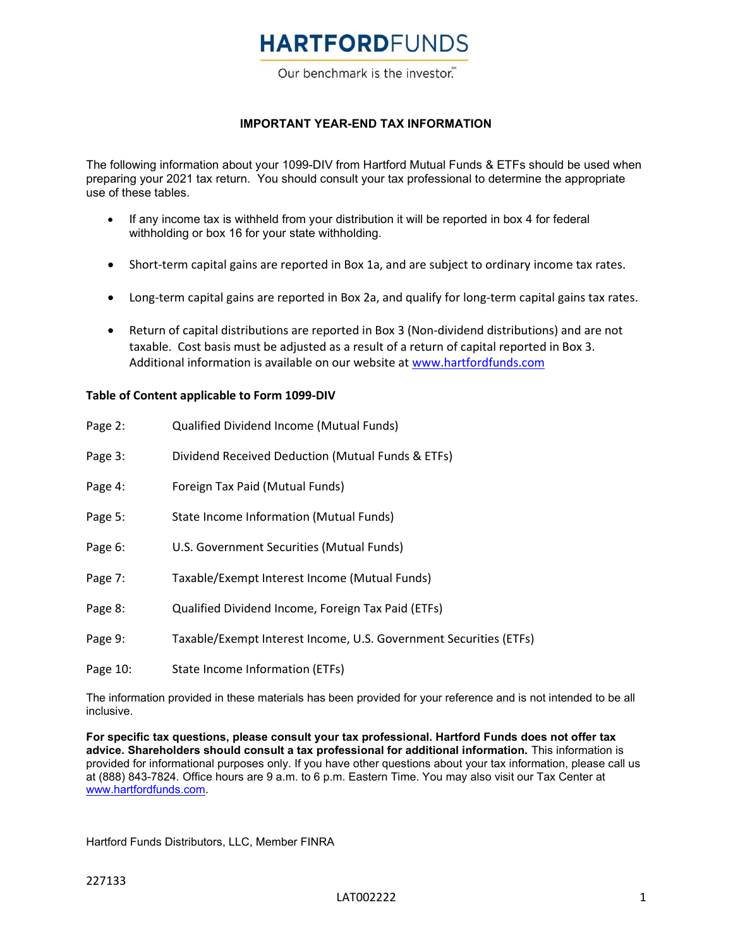Our benchmark is the investor.

#### IMPORTANT YEAR-END TAX INFORMATION

The following information about your 1099-DIV from Hartford Mutual Funds & ETFs should be used when preparing your 2021 tax return. You should consult your tax professional to determine the appropriate use of these tables.

- If any income tax is withheld from your distribution it will be reported in box 4 for federal withholding or box 16 for your state withholding.
- Short-term capital gains are reported in Box 1a, and are subject to ordinary income tax rates.
- Long-term capital gains are reported in Box 2a, and qualify for long-term capital gains tax rates.
- Return of capital distributions are reported in Box 3 (Non-dividend distributions) and are not taxable. Cost basis must be adjusted as a result of a return of capital reported in Box 3. Additional information is available on our website at www.hartfordfunds.com

#### Table of Content applicable to Form 1099-DIV

| Page 2:  | Qualified Dividend Income (Mutual Funds)                          |
|----------|-------------------------------------------------------------------|
| Page 3:  | Dividend Received Deduction (Mutual Funds & ETFs)                 |
| Page 4:  | Foreign Tax Paid (Mutual Funds)                                   |
| Page 5:  | State Income Information (Mutual Funds)                           |
| Page 6:  | U.S. Government Securities (Mutual Funds)                         |
| Page 7:  | Taxable/Exempt Interest Income (Mutual Funds)                     |
| Page 8:  | Qualified Dividend Income, Foreign Tax Paid (ETFs)                |
| Page 9:  | Taxable/Exempt Interest Income, U.S. Government Securities (ETFs) |
| Page 10: | State Income Information (ETFs)                                   |

The information provided in these materials has been provided for your reference and is not intended to be all inclusive.

For specific tax questions, please consult your tax professional. Hartford Funds does not offer tax advice. Shareholders should consult a tax professional for additional information. This information is provided for informational purposes only. If you have other questions about your tax information, please call us at (888) 843-7824. Office hours are 9 a.m. to 6 p.m. Eastern Time. You may also visit our Tax Center at www.hartfordfunds.com.

Hartford Funds Distributors, LLC, Member FINRA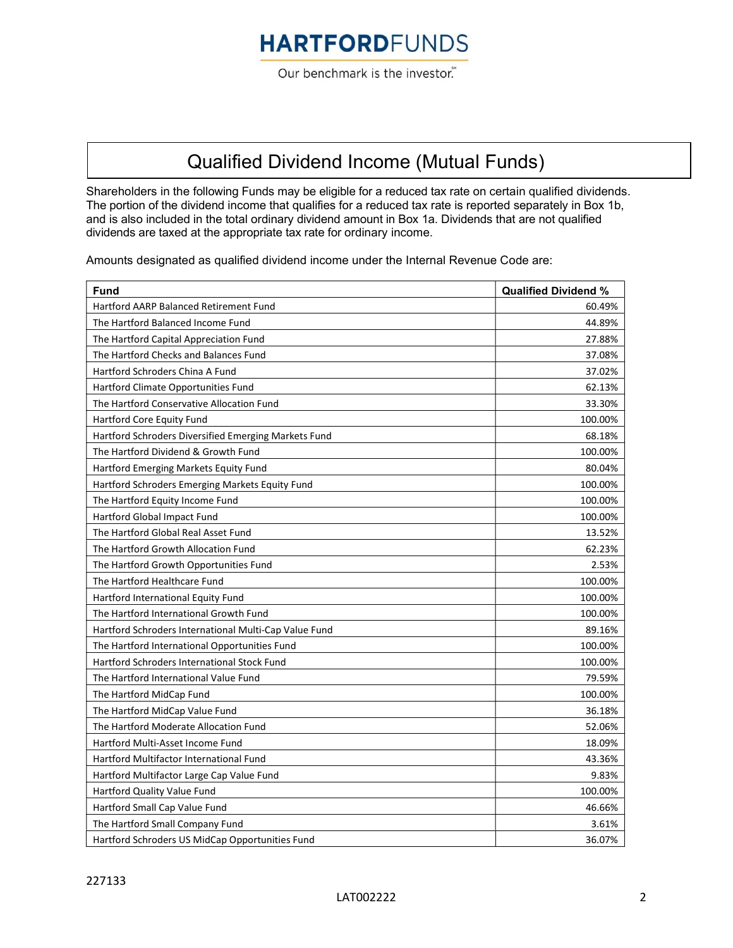Our benchmark is the investor.

## Qualified Dividend Income (Mutual Funds)

Shareholders in the following Funds may be eligible for a reduced tax rate on certain qualified dividends. The portion of the dividend income that qualifies for a reduced tax rate is reported separately in Box 1b, and is also included in the total ordinary dividend amount in Box 1a. Dividends that are not qualified dividends are taxed at the appropriate tax rate for ordinary income.

Amounts designated as qualified dividend income under the Internal Revenue Code are:

| <b>Fund</b>                                           | <b>Qualified Dividend %</b> |
|-------------------------------------------------------|-----------------------------|
| <b>Hartford AARP Balanced Retirement Fund</b>         | 60.49%                      |
| The Hartford Balanced Income Fund                     | 44.89%                      |
| The Hartford Capital Appreciation Fund                | 27.88%                      |
| The Hartford Checks and Balances Fund                 | 37.08%                      |
| Hartford Schroders China A Fund                       | 37.02%                      |
| Hartford Climate Opportunities Fund                   | 62.13%                      |
| The Hartford Conservative Allocation Fund             | 33.30%                      |
| Hartford Core Equity Fund                             | 100.00%                     |
| Hartford Schroders Diversified Emerging Markets Fund  | 68.18%                      |
| The Hartford Dividend & Growth Fund                   | 100.00%                     |
| Hartford Emerging Markets Equity Fund                 | 80.04%                      |
| Hartford Schroders Emerging Markets Equity Fund       | 100.00%                     |
| The Hartford Equity Income Fund                       | 100.00%                     |
| <b>Hartford Global Impact Fund</b>                    | 100.00%                     |
| The Hartford Global Real Asset Fund                   | 13.52%                      |
| The Hartford Growth Allocation Fund                   | 62.23%                      |
| The Hartford Growth Opportunities Fund                | 2.53%                       |
| The Hartford Healthcare Fund                          | 100.00%                     |
| Hartford International Equity Fund                    | 100.00%                     |
| The Hartford International Growth Fund                | 100.00%                     |
| Hartford Schroders International Multi-Cap Value Fund | 89.16%                      |
| The Hartford International Opportunities Fund         | 100.00%                     |
| Hartford Schroders International Stock Fund           | 100.00%                     |
| The Hartford International Value Fund                 | 79.59%                      |
| The Hartford MidCap Fund                              | 100.00%                     |
| The Hartford MidCap Value Fund                        | 36.18%                      |
| The Hartford Moderate Allocation Fund                 | 52.06%                      |
| Hartford Multi-Asset Income Fund                      | 18.09%                      |
| Hartford Multifactor International Fund               | 43.36%                      |
| Hartford Multifactor Large Cap Value Fund             | 9.83%                       |
| Hartford Quality Value Fund                           | 100.00%                     |
| Hartford Small Cap Value Fund                         | 46.66%                      |
| The Hartford Small Company Fund                       | 3.61%                       |
| Hartford Schroders US MidCap Opportunities Fund       | 36.07%                      |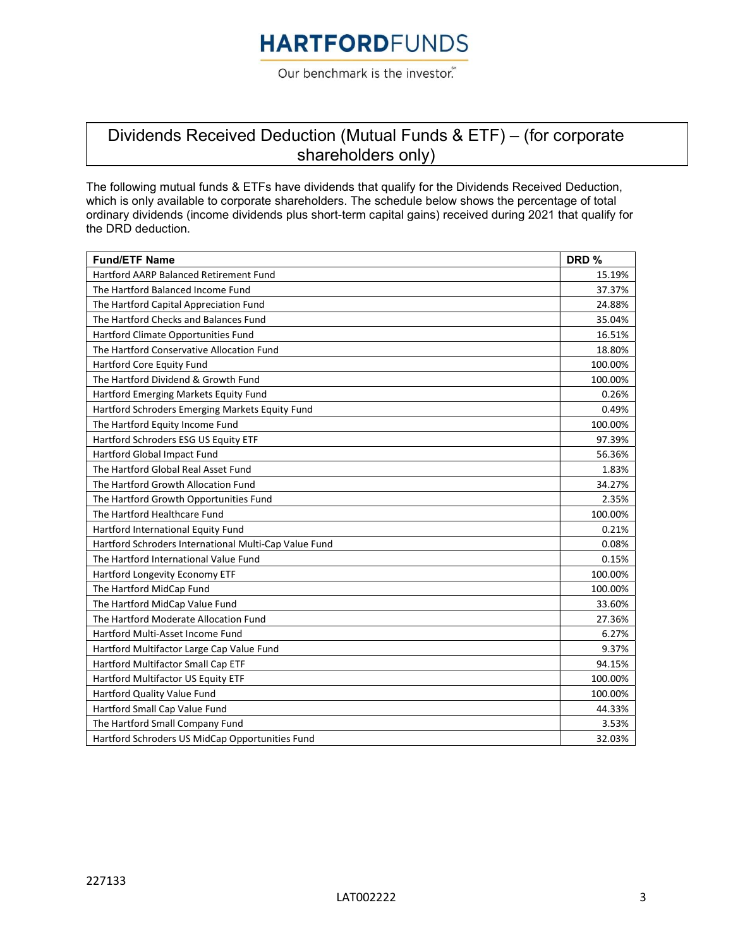Our benchmark is the investor.

### Dividends Received Deduction (Mutual Funds & ETF) – (for corporate shareholders only)

The following mutual funds & ETFs have dividends that qualify for the Dividends Received Deduction, which is only available to corporate shareholders. The schedule below shows the percentage of total ordinary dividends (income dividends plus short-term capital gains) received during 2021 that qualify for the DRD deduction.

| <b>Fund/ETF Name</b>                                  | DRD %   |
|-------------------------------------------------------|---------|
| <b>Hartford AARP Balanced Retirement Fund</b>         | 15.19%  |
| The Hartford Balanced Income Fund                     | 37.37%  |
| The Hartford Capital Appreciation Fund                | 24.88%  |
| The Hartford Checks and Balances Fund                 | 35.04%  |
| Hartford Climate Opportunities Fund                   | 16.51%  |
| The Hartford Conservative Allocation Fund             | 18.80%  |
| Hartford Core Equity Fund                             | 100.00% |
| The Hartford Dividend & Growth Fund                   | 100.00% |
| Hartford Emerging Markets Equity Fund                 | 0.26%   |
| Hartford Schroders Emerging Markets Equity Fund       | 0.49%   |
| The Hartford Equity Income Fund                       | 100.00% |
| Hartford Schroders ESG US Equity ETF                  | 97.39%  |
| Hartford Global Impact Fund                           | 56.36%  |
| The Hartford Global Real Asset Fund                   | 1.83%   |
| The Hartford Growth Allocation Fund                   | 34.27%  |
| The Hartford Growth Opportunities Fund                | 2.35%   |
| The Hartford Healthcare Fund                          | 100.00% |
| Hartford International Equity Fund                    | 0.21%   |
| Hartford Schroders International Multi-Cap Value Fund | 0.08%   |
| The Hartford International Value Fund                 | 0.15%   |
| Hartford Longevity Economy ETF                        | 100.00% |
| The Hartford MidCap Fund                              | 100.00% |
| The Hartford MidCap Value Fund                        | 33.60%  |
| The Hartford Moderate Allocation Fund                 | 27.36%  |
| Hartford Multi-Asset Income Fund                      | 6.27%   |
| Hartford Multifactor Large Cap Value Fund             | 9.37%   |
| Hartford Multifactor Small Cap ETF                    | 94.15%  |
| Hartford Multifactor US Equity ETF                    | 100.00% |
| Hartford Quality Value Fund                           | 100.00% |
| Hartford Small Cap Value Fund                         | 44.33%  |
| The Hartford Small Company Fund                       | 3.53%   |
| Hartford Schroders US MidCap Opportunities Fund       | 32.03%  |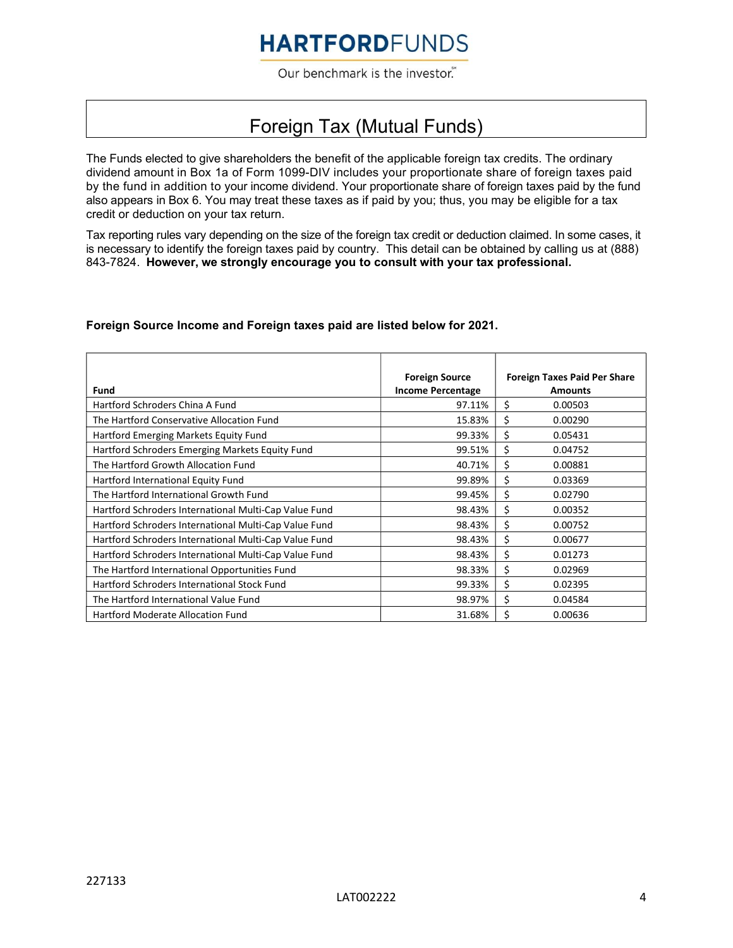Our benchmark is the investor.

### Foreign Tax (Mutual Funds)

The Funds elected to give shareholders the benefit of the applicable foreign tax credits. The ordinary dividend amount in Box 1a of Form 1099-DIV includes your proportionate share of foreign taxes paid by the fund in addition to your income dividend. Your proportionate share of foreign taxes paid by the fund also appears in Box 6. You may treat these taxes as if paid by you; thus, you may be eligible for a tax credit or deduction on your tax return.

Tax reporting rules vary depending on the size of the foreign tax credit or deduction claimed. In some cases, it is necessary to identify the foreign taxes paid by country. This detail can be obtained by calling us at (888) 843-7824. However, we strongly encourage you to consult with your tax professional.

#### Foreign Source Income and Foreign taxes paid are listed below for 2021.

| Fund                                                  | <b>Foreign Source</b><br><b>Income Percentage</b> | <b>Foreign Taxes Paid Per Share</b><br><b>Amounts</b> |
|-------------------------------------------------------|---------------------------------------------------|-------------------------------------------------------|
| Hartford Schroders China A Fund                       | 97.11%                                            | \$<br>0.00503                                         |
| The Hartford Conservative Allocation Fund             | 15.83%                                            | \$<br>0.00290                                         |
| Hartford Emerging Markets Equity Fund                 | 99.33%                                            | \$<br>0.05431                                         |
| Hartford Schroders Emerging Markets Equity Fund       | 99.51%                                            | \$<br>0.04752                                         |
| The Hartford Growth Allocation Fund                   | 40.71%                                            | \$<br>0.00881                                         |
| Hartford International Equity Fund                    | 99.89%                                            | \$<br>0.03369                                         |
| The Hartford International Growth Fund                | 99.45%                                            | \$<br>0.02790                                         |
| Hartford Schroders International Multi-Cap Value Fund | 98.43%                                            | \$<br>0.00352                                         |
| Hartford Schroders International Multi-Cap Value Fund | 98.43%                                            | \$<br>0.00752                                         |
| Hartford Schroders International Multi-Cap Value Fund | 98.43%                                            | \$<br>0.00677                                         |
| Hartford Schroders International Multi-Cap Value Fund | 98.43%                                            | \$<br>0.01273                                         |
| The Hartford International Opportunities Fund         | 98.33%                                            | \$<br>0.02969                                         |
| Hartford Schroders International Stock Fund           | 99.33%                                            | \$<br>0.02395                                         |
| The Hartford International Value Fund                 | 98.97%                                            | \$<br>0.04584                                         |
| Hartford Moderate Allocation Fund                     | 31.68%                                            | \$<br>0.00636                                         |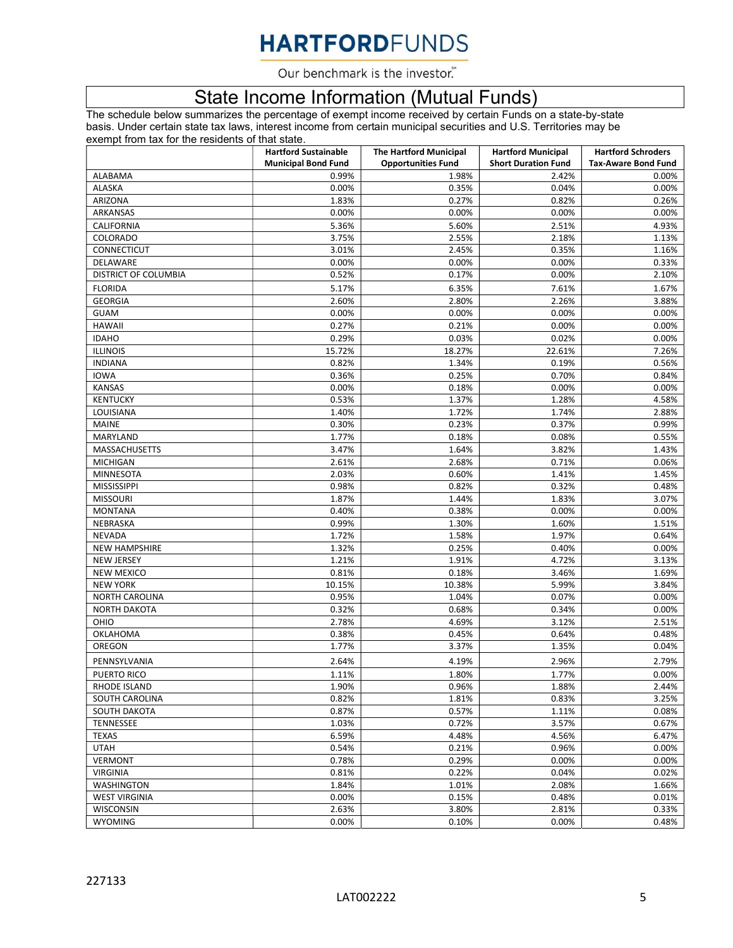Our benchmark is the investor.

### State Income Information (Mutual Funds)

The schedule below summarizes the percentage of exempt income received by certain Funds on a state-by-state basis. Under certain state tax laws, interest income from certain municipal securities and U.S. Territories may be exempt from tax for the residents of that state.

|                                           | <b>Hartford Sustainable</b> | <b>The Hartford Municipal</b> | <b>Hartford Municipal</b>  | <b>Hartford Schroders</b>  |
|-------------------------------------------|-----------------------------|-------------------------------|----------------------------|----------------------------|
|                                           | <b>Municipal Bond Fund</b>  | <b>Opportunities Fund</b>     | <b>Short Duration Fund</b> | <b>Tax-Aware Bond Fund</b> |
| <b>ALABAMA</b>                            | 0.99%                       | 1.98%                         | 2.42%                      | 0.00%                      |
| ALASKA                                    | 0.00%                       | 0.35%                         | 0.04%                      | 0.00%                      |
| ARIZONA                                   | 1.83%                       | 0.27%                         | 0.82%                      | 0.26%                      |
| ARKANSAS                                  | 0.00%                       | 0.00%                         | 0.00%                      | 0.00%                      |
| CALIFORNIA                                | 5.36%                       | 5.60%                         | 2.51%                      | 4.93%                      |
| COLORADO                                  | 3.75%                       | 2.55%                         | 2.18%                      | 1.13%                      |
| CONNECTICUT                               | 3.01%                       | 2.45%                         | 0.35%                      | 1.16%                      |
| DELAWARE                                  | 0.00%                       | 0.00%                         | 0.00%                      | 0.33%                      |
| DISTRICT OF COLUMBIA                      | 0.52%                       | 0.17%                         | 0.00%                      | 2.10%                      |
| <b>FLORIDA</b>                            | 5.17%                       | 6.35%                         | 7.61%                      | 1.67%                      |
| <b>GEORGIA</b>                            | 2.60%                       | 2.80%                         | 2.26%                      | 3.88%                      |
| <b>GUAM</b>                               | 0.00%                       | 0.00%                         | 0.00%                      | 0.00%                      |
| <b>HAWAII</b>                             | 0.27%                       | 0.21%                         | 0.00%                      | 0.00%                      |
| <b>IDAHO</b>                              | 0.29%                       | 0.03%                         | 0.02%                      | 0.00%                      |
| <b>ILLINOIS</b>                           | 15.72%                      | 18.27%                        | 22.61%                     | 7.26%                      |
| <b>INDIANA</b>                            | 0.82%                       | 1.34%                         | 0.19%                      | 0.56%                      |
| <b>IOWA</b>                               | 0.36%                       | 0.25%                         | 0.70%                      | 0.84%                      |
| <b>KANSAS</b>                             | 0.00%                       | 0.18%                         | 0.00%                      | 0.00%                      |
| <b>KENTUCKY</b>                           | 0.53%                       | 1.37%                         | 1.28%                      | 4.58%                      |
| LOUISIANA                                 | 1.40%                       | 1.72%                         | 1.74%                      | 2.88%                      |
| <b>MAINE</b>                              | 0.30%                       | 0.23%                         | 0.37%                      | 0.99%                      |
| MARYLAND                                  | 1.77%                       | 0.18%                         | 0.08%                      | 0.55%                      |
| MASSACHUSETTS                             | 3.47%                       | 1.64%                         | 3.82%                      | 1.43%                      |
|                                           | 2.61%                       | 2.68%                         | 0.71%                      | 0.06%                      |
| <b>MICHIGAN</b>                           |                             |                               |                            |                            |
| <b>MINNESOTA</b><br><b>MISSISSIPPI</b>    | 2.03%<br>0.98%              | 0.60%<br>0.82%                | 1.41%<br>0.32%             | 1.45%<br>0.48%             |
|                                           |                             |                               |                            |                            |
| <b>MISSOURI</b>                           | 1.87%                       | 1.44%                         | 1.83%                      | 3.07%                      |
| <b>MONTANA</b>                            | 0.40%                       | 0.38%                         | 0.00%                      | 0.00%                      |
| NEBRASKA                                  | 0.99%                       | 1.30%                         | 1.60%                      | 1.51%                      |
| <b>NEVADA</b>                             | 1.72%                       | 1.58%                         | 1.97%                      | 0.64%                      |
| <b>NEW HAMPSHIRE</b><br><b>NEW JERSEY</b> | 1.32%<br>1.21%              | 0.25%<br>1.91%                | 0.40%<br>4.72%             | 0.00%<br>3.13%             |
|                                           |                             |                               |                            |                            |
| <b>NEW MEXICO</b>                         | 0.81%                       | 0.18%                         | 3.46%                      | 1.69%                      |
| <b>NEW YORK</b>                           | 10.15%                      | 10.38%                        | 5.99%                      | 3.84%                      |
| <b>NORTH CAROLINA</b>                     | 0.95%                       | 1.04%                         | 0.07%                      | 0.00%                      |
| <b>NORTH DAKOTA</b>                       | 0.32%                       | 0.68%                         | 0.34%                      | 0.00%                      |
| OHIO                                      | 2.78%                       | 4.69%                         | 3.12%                      | 2.51%                      |
| OKLAHOMA                                  | 0.38%                       | 0.45%                         | 0.64%                      | 0.48%                      |
| OREGON                                    | 1.77%                       | 3.37%                         | 1.35%                      | 0.04%                      |
| PENNSYLVANIA                              | 2.64%                       | 4.19%                         | 2.96%                      | 2.79%                      |
| PUERTO RICO                               | 1.11%                       | 1.80%                         | 1.77%                      | 0.00%                      |
| RHODE ISLAND                              | 1.90%                       | 0.96%                         | 1.88%                      | 2.44%                      |
| SOUTH CAROLINA                            | 0.82%                       | 1.81%                         | 0.83%                      | 3.25%                      |
| SOUTH DAKOTA                              | 0.87%                       | 0.57%                         | 1.11%                      | 0.08%                      |
| <b>TENNESSEE</b>                          | 1.03%                       | 0.72%                         | 3.57%                      | 0.67%                      |
| <b>TEXAS</b>                              | 6.59%                       | 4.48%                         | 4.56%                      | 6.47%                      |
| <b>UTAH</b>                               | 0.54%                       | 0.21%                         | 0.96%                      | 0.00%                      |
| <b>VERMONT</b>                            | 0.78%                       | 0.29%                         | 0.00%                      | 0.00%                      |
| <b>VIRGINIA</b>                           | 0.81%                       | 0.22%                         | 0.04%                      | 0.02%                      |
| <b>WASHINGTON</b>                         | 1.84%                       | 1.01%                         | 2.08%                      | 1.66%                      |
| <b>WEST VIRGINIA</b>                      | 0.00%                       | 0.15%                         | 0.48%                      | 0.01%                      |
| WISCONSIN                                 | 2.63%                       | 3.80%                         | 2.81%                      | 0.33%                      |
| <b>WYOMING</b>                            | 0.00%                       | 0.10%                         | 0.00%                      | 0.48%                      |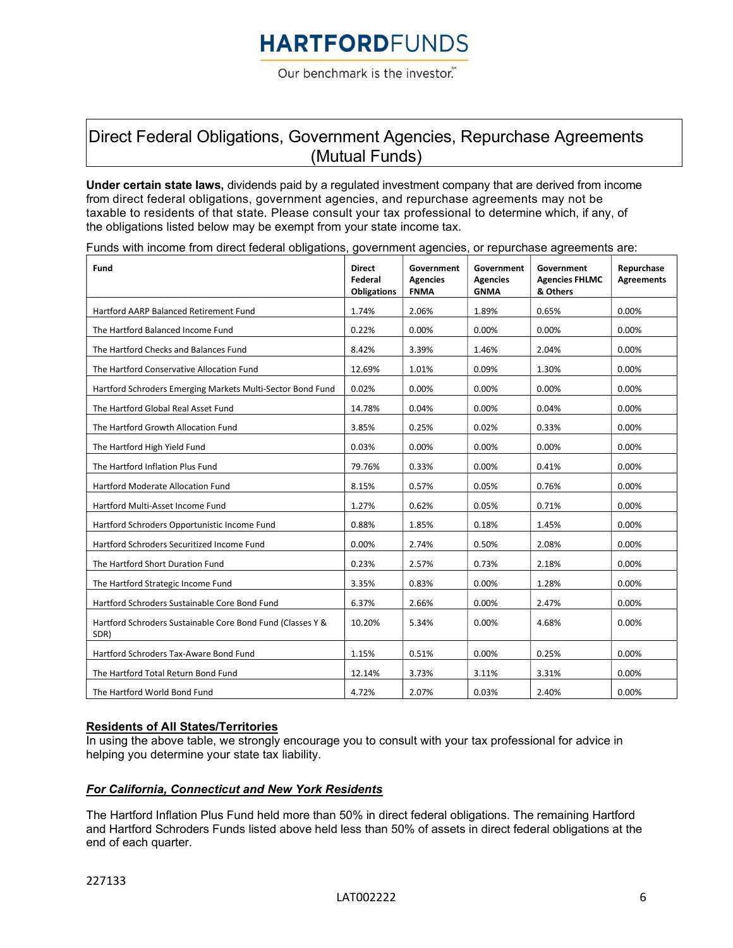Our benchmark is the investor.

### Direct Federal Obligations, Government Agencies, Repurchase Agreements (Mutual Funds)

Under certain state laws, dividends paid by a regulated investment company that are derived from income from direct federal obligations, government agencies, and repurchase agreements may not be taxable to residents of that state. Please consult your tax professional to determine which, if any, of the obligations listed below may be exempt from your state income tax.

|  |  |  |  |  | Funds with income from direct federal obligations, government agencies, or repurchase agreements are: |
|--|--|--|--|--|-------------------------------------------------------------------------------------------------------|
|  |  |  |  |  |                                                                                                       |

| Fund                                                               | <b>Direct</b><br>Federal<br><b>Obligations</b> | Government<br><b>Agencies</b><br><b>FNMA</b> | Government<br><b>Agencies</b><br><b>GNMA</b> | Government<br><b>Agencies FHLMC</b><br>& Others | Repurchase<br><b>Agreements</b> |
|--------------------------------------------------------------------|------------------------------------------------|----------------------------------------------|----------------------------------------------|-------------------------------------------------|---------------------------------|
| Hartford AARP Balanced Retirement Fund                             | 1.74%                                          | 2.06%                                        | 1.89%                                        | 0.65%                                           | 0.00%                           |
| The Hartford Balanced Income Fund                                  | 0.22%                                          | 0.00%                                        | 0.00%                                        | 0.00%                                           | 0.00%                           |
| The Hartford Checks and Balances Fund                              | 8.42%                                          | 3.39%                                        | 1.46%                                        | 2.04%                                           | 0.00%                           |
| The Hartford Conservative Allocation Fund                          | 12.69%                                         | 1.01%                                        | 0.09%                                        | 1.30%                                           | 0.00%                           |
| Hartford Schroders Emerging Markets Multi-Sector Bond Fund         | 0.02%                                          | 0.00%                                        | 0.00%                                        | 0.00%                                           | 0.00%                           |
| The Hartford Global Real Asset Fund                                | 14.78%                                         | 0.04%                                        | 0.00%                                        | 0.04%                                           | 0.00%                           |
| The Hartford Growth Allocation Fund                                | 3.85%                                          | 0.25%                                        | 0.02%                                        | 0.33%                                           | 0.00%                           |
| The Hartford High Yield Fund                                       | 0.03%                                          | 0.00%                                        | 0.00%                                        | 0.00%                                           | 0.00%                           |
| The Hartford Inflation Plus Fund                                   | 79.76%                                         | 0.33%                                        | 0.00%                                        | 0.41%                                           | 0.00%                           |
| Hartford Moderate Allocation Fund                                  | 8.15%                                          | 0.57%                                        | 0.05%                                        | 0.76%                                           | 0.00%                           |
| Hartford Multi-Asset Income Fund                                   | 1.27%                                          | 0.62%                                        | 0.05%                                        | 0.71%                                           | 0.00%                           |
| Hartford Schroders Opportunistic Income Fund                       | 0.88%                                          | 1.85%                                        | 0.18%                                        | 1.45%                                           | 0.00%                           |
| Hartford Schroders Securitized Income Fund                         | 0.00%                                          | 2.74%                                        | 0.50%                                        | 2.08%                                           | 0.00%                           |
| The Hartford Short Duration Fund                                   | 0.23%                                          | 2.57%                                        | 0.73%                                        | 2.18%                                           | 0.00%                           |
| The Hartford Strategic Income Fund                                 | 3.35%                                          | 0.83%                                        | 0.00%                                        | 1.28%                                           | 0.00%                           |
| Hartford Schroders Sustainable Core Bond Fund                      | 6.37%                                          | 2.66%                                        | 0.00%                                        | 2.47%                                           | 0.00%                           |
| Hartford Schroders Sustainable Core Bond Fund (Classes Y &<br>SDR) | 10.20%                                         | 5.34%                                        | 0.00%                                        | 4.68%                                           | 0.00%                           |
| Hartford Schroders Tax-Aware Bond Fund                             | 1.15%                                          | 0.51%                                        | 0.00%                                        | 0.25%                                           | 0.00%                           |
| The Hartford Total Return Bond Fund                                | 12.14%                                         | 3.73%                                        | 3.11%                                        | 3.31%                                           | 0.00%                           |
| The Hartford World Bond Fund                                       | 4.72%                                          | 2.07%                                        | 0.03%                                        | 2.40%                                           | 0.00%                           |

#### Residents of All States/Territories

In using the above table, we strongly encourage you to consult with your tax professional for advice in helping you determine your state tax liability.

#### For California, Connecticut and New York Residents

The Hartford Inflation Plus Fund held more than 50% in direct federal obligations. The remaining Hartford and Hartford Schroders Funds listed above held less than 50% of assets in direct federal obligations at the end of each quarter.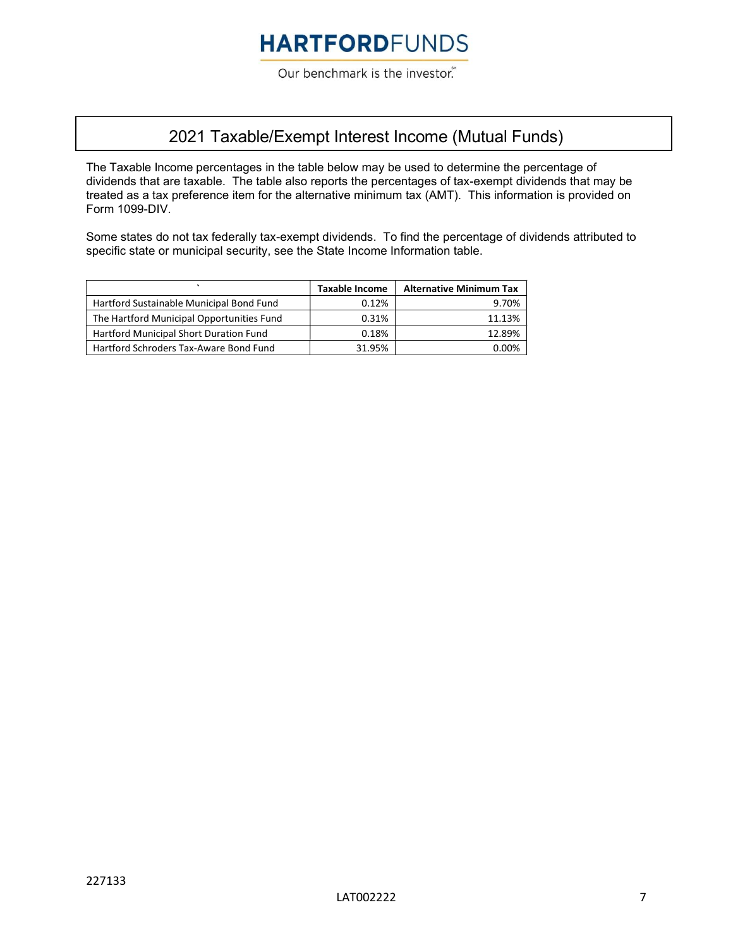Our benchmark is the investor.

### 2021 Taxable/Exempt Interest Income (Mutual Funds)

The Taxable Income percentages in the table below may be used to determine the percentage of dividends that are taxable. The table also reports the percentages of tax-exempt dividends that may be treated as a tax preference item for the alternative minimum tax (AMT). This information is provided on Form 1099-DIV.

Some states do not tax federally tax-exempt dividends. To find the percentage of dividends attributed to specific state or municipal security, see the State Income Information table.

|                                           | <b>Taxable Income</b> | <b>Alternative Minimum Tax</b> |
|-------------------------------------------|-----------------------|--------------------------------|
| Hartford Sustainable Municipal Bond Fund  | 0.12%                 | 9.70%                          |
| The Hartford Municipal Opportunities Fund | 0.31%                 | 11.13%                         |
| Hartford Municipal Short Duration Fund    | 0.18%                 | 12.89%                         |
| Hartford Schroders Tax-Aware Bond Fund    | 31.95%                | 0.00%                          |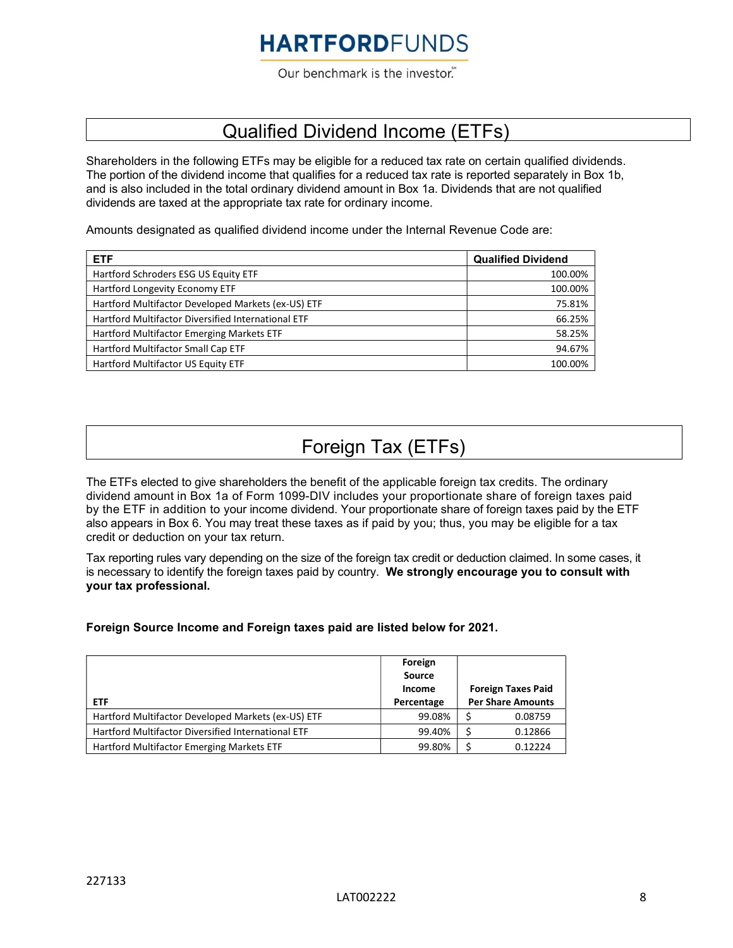Our benchmark is the investor.

### Qualified Dividend Income (ETFs)

Shareholders in the following ETFs may be eligible for a reduced tax rate on certain qualified dividends. The portion of the dividend income that qualifies for a reduced tax rate is reported separately in Box 1b, and is also included in the total ordinary dividend amount in Box 1a. Dividends that are not qualified dividends are taxed at the appropriate tax rate for ordinary income.

Amounts designated as qualified dividend income under the Internal Revenue Code are:

| <b>ETF</b>                                         | <b>Qualified Dividend</b> |
|----------------------------------------------------|---------------------------|
| Hartford Schroders ESG US Equity ETF               | 100.00%                   |
| Hartford Longevity Economy ETF                     | 100.00%                   |
| Hartford Multifactor Developed Markets (ex-US) ETF | 75.81%                    |
| Hartford Multifactor Diversified International ETF | 66.25%                    |
| Hartford Multifactor Emerging Markets ETF          | 58.25%                    |
| Hartford Multifactor Small Cap ETF                 | 94.67%                    |
| Hartford Multifactor US Equity ETF                 | 100.00%                   |

## Foreign Tax (ETFs)

The ETFs elected to give shareholders the benefit of the applicable foreign tax credits. The ordinary dividend amount in Box 1a of Form 1099-DIV includes your proportionate share of foreign taxes paid by the ETF in addition to your income dividend. Your proportionate share of foreign taxes paid by the ETF also appears in Box 6. You may treat these taxes as if paid by you; thus, you may be eligible for a tax credit or deduction on your tax return.

Tax reporting rules vary depending on the size of the foreign tax credit or deduction claimed. In some cases, it is necessary to identify the foreign taxes paid by country. We strongly encourage you to consult with your tax professional.

#### Foreign Source Income and Foreign taxes paid are listed below for 2021.

| <b>ETF</b>                                         | Foreign<br><b>Source</b><br>Income<br>Percentage | <b>Foreign Taxes Paid</b><br><b>Per Share Amounts</b> |
|----------------------------------------------------|--------------------------------------------------|-------------------------------------------------------|
| Hartford Multifactor Developed Markets (ex-US) ETF | 99.08%                                           | 0.08759                                               |
| Hartford Multifactor Diversified International ETF | 99.40%                                           | 0.12866                                               |
| Hartford Multifactor Emerging Markets ETF          | 99.80%                                           | 0.12224                                               |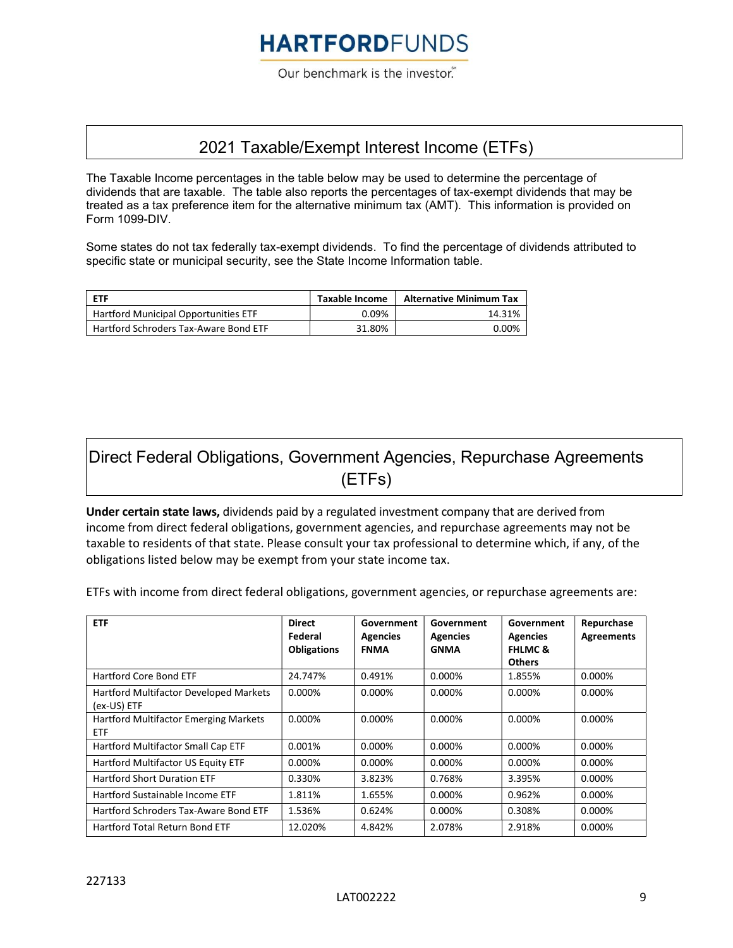Our benchmark is the investor.

### 2021 Taxable/Exempt Interest Income (ETFs)

The Taxable Income percentages in the table below may be used to determine the percentage of dividends that are taxable. The table also reports the percentages of tax-exempt dividends that may be treated as a tax preference item for the alternative minimum tax (AMT). This information is provided on Form 1099-DIV.

Some states do not tax federally tax-exempt dividends. To find the percentage of dividends attributed to specific state or municipal security, see the State Income Information table.

| <b>FTF</b>                            | Taxable Income | <b>Alternative Minimum Tax</b> |
|---------------------------------------|----------------|--------------------------------|
| Hartford Municipal Opportunities ETF  | 0.09%          | 14.31%                         |
| Hartford Schroders Tax-Aware Bond ETF | 31.80%         | 0.00%                          |

### Direct Federal Obligations, Government Agencies, Repurchase Agreements (ETFs)

Under certain state laws, dividends paid by a regulated investment company that are derived from income from direct federal obligations, government agencies, and repurchase agreements may not be taxable to residents of that state. Please consult your tax professional to determine which, if any, of the obligations listed below may be exempt from your state income tax.

ETFs with income from direct federal obligations, government agencies, or repurchase agreements are:

| <b>ETF</b>                                                 | <b>Direct</b><br>Federal<br><b>Obligations</b> | Government<br><b>Agencies</b><br><b>FNMA</b> | Government<br><b>Agencies</b><br><b>GNMA</b> | Government<br><b>Agencies</b><br><b>FHLMC &amp;</b><br><b>Others</b> | Repurchase<br><b>Agreements</b> |
|------------------------------------------------------------|------------------------------------------------|----------------------------------------------|----------------------------------------------|----------------------------------------------------------------------|---------------------------------|
| <b>Hartford Core Bond ETF</b>                              | 24.747%                                        | 0.491%                                       | $0.000\%$                                    | 1.855%                                                               | 0.000%                          |
| Hartford Multifactor Developed Markets<br>(ex-US) ETF      | $0.000\%$                                      | $0.000\%$                                    | $0.000\%$                                    | 0.000%                                                               | 0.000%                          |
| <b>Hartford Multifactor Emerging Markets</b><br><b>ETF</b> | 0.000%                                         | $0.000\%$                                    | $0.000\%$                                    | 0.000%                                                               | 0.000%                          |
| Hartford Multifactor Small Cap ETF                         | 0.001%                                         | $0.000\%$                                    | $0.000\%$                                    | $0.000\%$                                                            | $0.000\%$                       |
| Hartford Multifactor US Equity ETF                         | $0.000\%$                                      | $0.000\%$                                    | $0.000\%$                                    | 0.000%                                                               | 0.000%                          |
| <b>Hartford Short Duration ETF</b>                         | 0.330%                                         | 3.823%                                       | 0.768%                                       | 3.395%                                                               | 0.000%                          |
| Hartford Sustainable Income ETF                            | 1.811%                                         | 1.655%                                       | $0.000\%$                                    | 0.962%                                                               | 0.000%                          |
| Hartford Schroders Tax-Aware Bond ETF                      | 1.536%                                         | 0.624%                                       | 0.000%                                       | 0.308%                                                               | $0.000\%$                       |
| Hartford Total Return Bond ETF                             | 12.020%                                        | 4.842%                                       | 2.078%                                       | 2.918%                                                               | 0.000%                          |